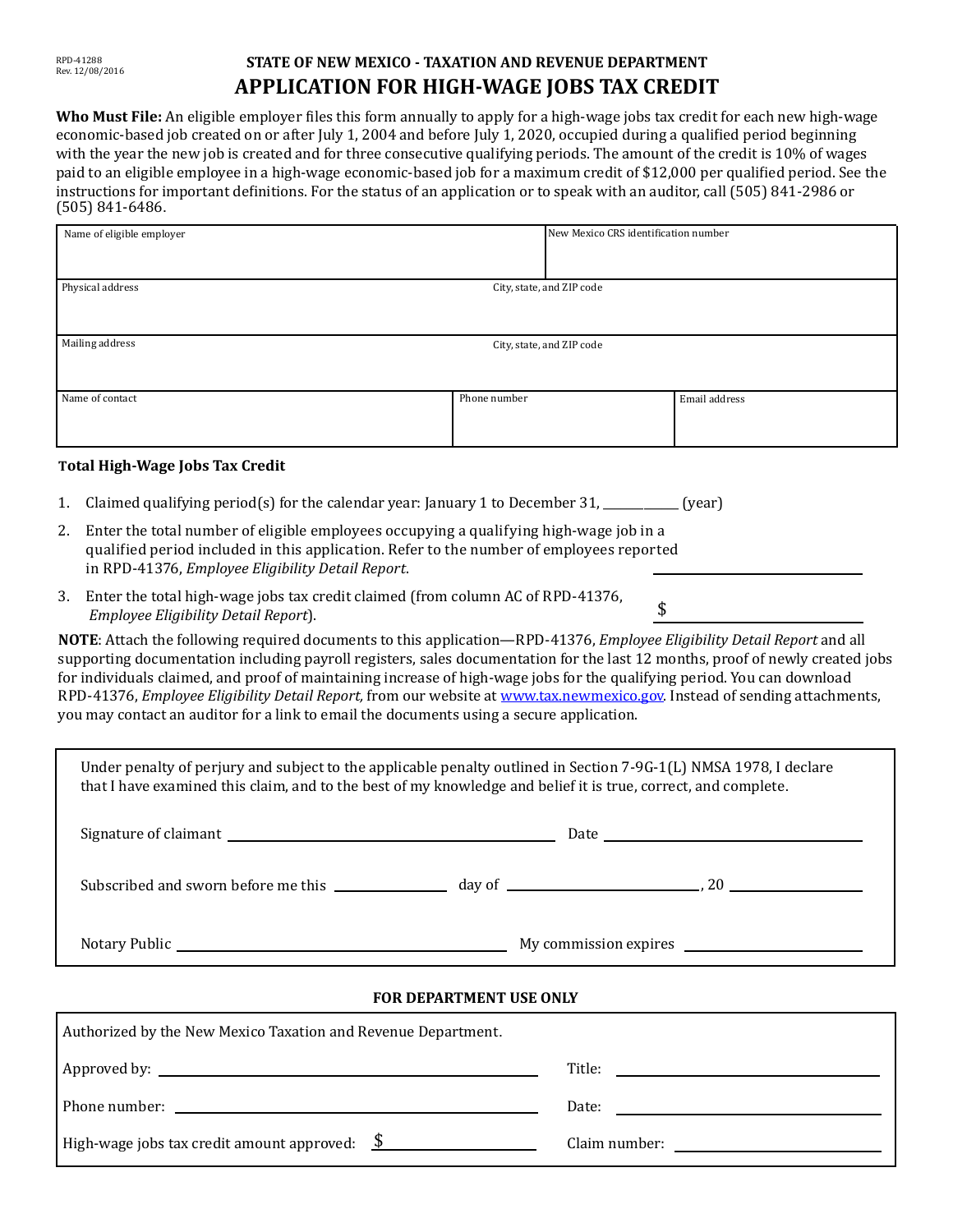# **STATE OF NEW MEXICO - TAXATION AND REVENUE DEPARTMENT APPLICATION FOR HIGH-WAGE JOBS TAX CREDIT**

**Who Must File:** An eligible employer files this form annually to apply for a high-wage jobs tax credit for each new high-wage economic-based job created on or after July 1, 2004 and before July 1, 2020, occupied during a qualified period beginning with the year the new job is created and for three consecutive qualifying periods. The amount of the credit is 10% of wages paid to an eligible employee in a high-wage economic-based job for a maximum credit of \$12,000 per qualified period. See the instructions for important definitions. For the status of an application or to speak with an auditor, call (505) 841-2986 or (505) 841-6486.

| Name of eligible employer                     |              | New Mexico CRS identification number |               |
|-----------------------------------------------|--------------|--------------------------------------|---------------|
|                                               |              |                                      |               |
| Physical address<br>City, state, and ZIP code |              |                                      |               |
| Mailing address                               |              | City, state, and ZIP code            |               |
| Name of contact                               | Phone number |                                      | Email address |

## **Total High-Wage Jobs Tax Credit**

- 1. Claimed qualifying period(s) for the calendar year: January 1 to December 31, \_\_\_\_\_\_\_\_\_\_\_\_\_ (year)
- 2. Enter the total number of eligible employees occupying a qualifying high-wage job in a qualified period included in this application. Refer to the number of employees reported in RPD-41376, *Employee Eligibility Detail Report*.
- 3. Enter the total high-wage jobs tax credit claimed (from column AC of RPD-41376,  *Employee Eligibility Detail Report*).

**NOTE**: Attach the following required documents to this application—RPD-41376, *Employee Eligibility Detail Report* and all supporting documentation including payroll registers, sales documentation for the last 12 months, proof of newly created jobs for individuals claimed, and proof of maintaining increase of high-wage jobs for the qualifying period. You can download RPD-41376, *Employee Eligibility Detail Report,* from our website at [www.tax.newmexico.gov.](http://www.tax.newmexico.gov/) Instead of sending attachments, you may contact an auditor for a link to email the documents using a secure application.

\$

| Under penalty of perjury and subject to the applicable penalty outlined in Section 7-9G-1(L) NMSA 1978, I declare<br>that I have examined this claim, and to the best of my knowledge and belief it is true, correct, and complete. |                                                                                                                                                                                                                                |  |  |  |
|-------------------------------------------------------------------------------------------------------------------------------------------------------------------------------------------------------------------------------------|--------------------------------------------------------------------------------------------------------------------------------------------------------------------------------------------------------------------------------|--|--|--|
|                                                                                                                                                                                                                                     |                                                                                                                                                                                                                                |  |  |  |
|                                                                                                                                                                                                                                     |                                                                                                                                                                                                                                |  |  |  |
|                                                                                                                                                                                                                                     |                                                                                                                                                                                                                                |  |  |  |
| <b>FOR DEPARTMENT USE ONLY</b>                                                                                                                                                                                                      |                                                                                                                                                                                                                                |  |  |  |
| Authorized by the New Mexico Taxation and Revenue Department.                                                                                                                                                                       |                                                                                                                                                                                                                                |  |  |  |
|                                                                                                                                                                                                                                     | Title: Title: Title: Title: The Communication of the Communication of the Communication of the Communication of the Communication of the Communication of the Communication of the Communication of the Communication of the C |  |  |  |
|                                                                                                                                                                                                                                     | Date:                                                                                                                                                                                                                          |  |  |  |
| High-wage jobs tax credit amount approved: $\frac{\$}{\$}$                                                                                                                                                                          |                                                                                                                                                                                                                                |  |  |  |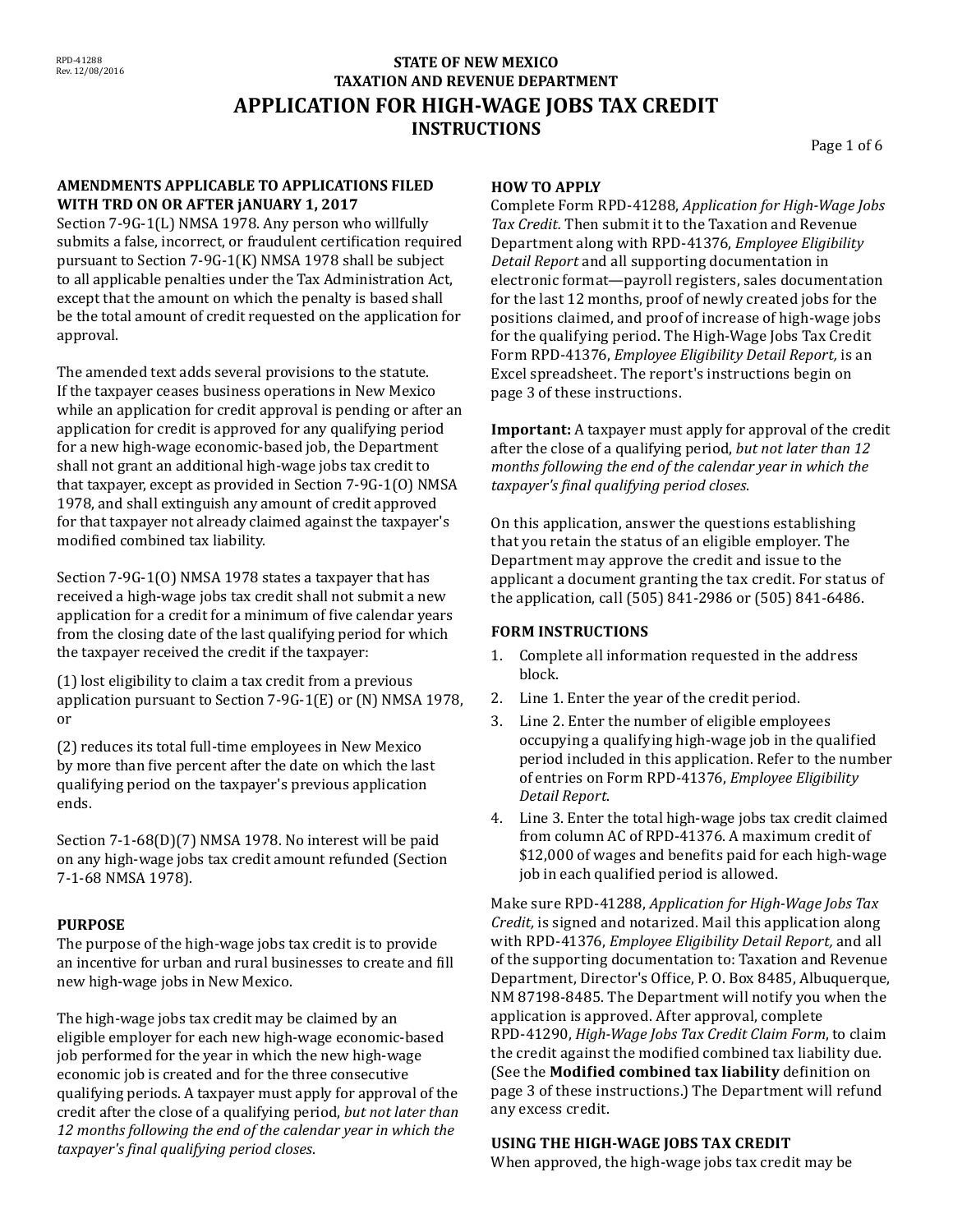# **STATE OF NEW MEXICO TAXATION AND REVENUE DEPARTMENT APPLICATION FOR HIGH-WAGE JOBS TAX CREDIT INSTRUCTIONS**

Page 1 of 6

#### **AMENDMENTS APPLICABLE TO APPLICATIONS FILED WITH TRD ON OR AFTER jANUARY 1, 2017**

Section 7-9G-1(L) NMSA 1978. Any person who willfully submits a false, incorrect, or fraudulent certification required pursuant to Section 7-9G-1(K) NMSA 1978 shall be subject to all applicable penalties under the Tax Administration Act, except that the amount on which the penalty is based shall be the total amount of credit requested on the application for approval.

The amended text adds several provisions to the statute. If the taxpayer ceases business operations in New Mexico while an application for credit approval is pending or after an application for credit is approved for any qualifying period for a new high-wage economic-based job, the Department shall not grant an additional high-wage jobs tax credit to that taxpayer, except as provided in Section 7-9G-1(O) NMSA 1978, and shall extinguish any amount of credit approved for that taxpayer not already claimed against the taxpayer's modified combined tax liability.

Section 7-9G-1(O) NMSA 1978 states a taxpayer that has received a high-wage jobs tax credit shall not submit a new application for a credit for a minimum of five calendar years from the closing date of the last qualifying period for which the taxpayer received the credit if the taxpayer:

(1) lost eligibility to claim a tax credit from a previous application pursuant to Section 7-9G-1(E) or (N) NMSA 1978, or

(2) reduces its total full-time employees in New Mexico by more than five percent after the date on which the last qualifying period on the taxpayer's previous application ends.

Section 7-1-68(D)(7) NMSA 1978. No interest will be paid on any high-wage jobs tax credit amount refunded (Section 7-1-68 NMSA 1978).

## **PURPOSE**

The purpose of the high-wage jobs tax credit is to provide an incentive for urban and rural businesses to create and fill new high-wage jobs in New Mexico.

The high-wage jobs tax credit may be claimed by an eligible employer for each new high-wage economic-based job performed for the year in which the new high-wage economic job is created and for the three consecutive qualifying periods. A taxpayer must apply for approval of the credit after the close of a qualifying period, *but not later than 12 months following the end of the calendar year in which the taxpayer's final qualifying period closes*.

#### **HOW TO APPLY**

Complete Form RPD-41288, *Application for High-Wage Jobs Tax Credit.* Then submit it to the Taxation and Revenue Department along with RPD-41376, *Employee Eligibility Detail Report* and all supporting documentation in electronic format—payroll registers, sales documentation for the last 12 months, proof of newly created jobs for the positions claimed, and proof of increase of high-wage jobs for the qualifying period. The High-Wage Jobs Tax Credit Form RPD-41376, *Employee Eligibility Detail Report,* is an Excel spreadsheet. The report's instructions begin on page 3 of these instructions.

**Important:** A taxpayer must apply for approval of the credit after the close of a qualifying period, *but not later than 12 months following the end of the calendar year in which the taxpayer's final qualifying period closes*.

On this application, answer the questions establishing that you retain the status of an eligible employer. The Department may approve the credit and issue to the applicant a document granting the tax credit. For status of the application, call (505) 841-2986 or (505) 841-6486.

#### **FORM INSTRUCTIONS**

- 1. Complete all information requested in the address block.
- 2. Line 1. Enter the year of the credit period.
- 3. Line 2. Enter the number of eligible employees occupying a qualifying high-wage job in the qualified period included in this application. Refer to the number of entries on Form RPD-41376, *Employee Eligibility Detail Report*.
- 4. Line 3. Enter the total high-wage jobs tax credit claimed from column AC of RPD-41376. A maximum credit of \$12,000 of wages and benefits paid for each high-wage job in each qualified period is allowed.

Make sure RPD-41288, *Application for High-Wage Jobs Tax Credit,* is signed and notarized. Mail this application along with RPD-41376, *Employee Eligibility Detail Report,* and all of the supporting documentation to: Taxation and Revenue Department, Director's Office, P. O. Box 8485, Albuquerque, NM 87198-8485. The Department will notify you when the application is approved. After approval, complete RPD-41290, *High-Wage Jobs Tax Credit Claim Form*, to claim the credit against the modified combined tax liability due. (See the **Modified combined tax liability** definition on page 3 of these instructions.) The Department will refund any excess credit.

#### **USING THE HIGH-WAGE JOBS TAX CREDIT**

When approved, the high-wage jobs tax credit may be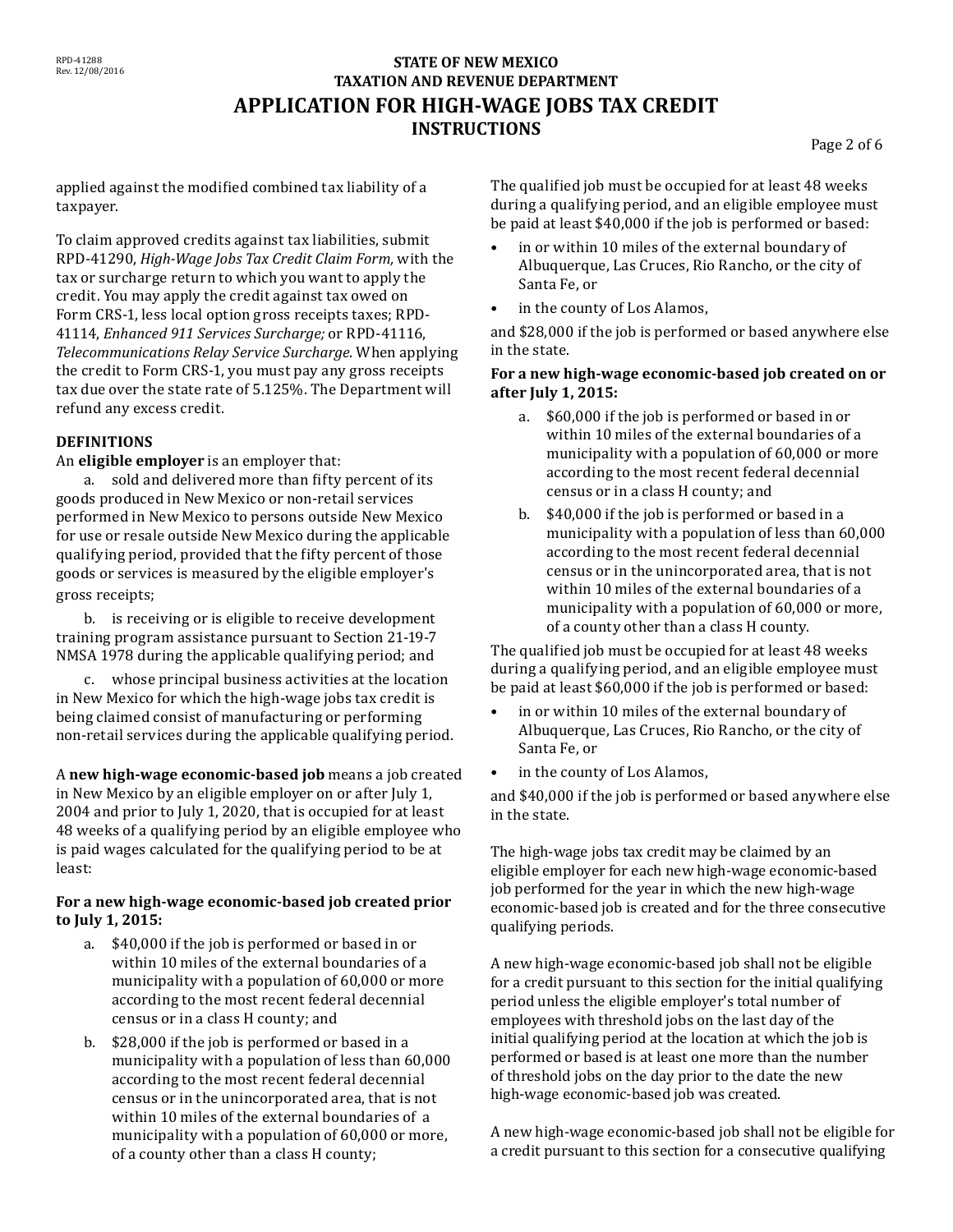# **STATE OF NEW MEXICO TAXATION AND REVENUE DEPARTMENT APPLICATION FOR HIGH-WAGE JOBS TAX CREDIT INSTRUCTIONS**

Page 2 of 6

applied against the modified combined tax liability of a taxpayer.

To claim approved credits against tax liabilities, submit RPD-41290, *High-Wage Jobs Tax Credit Claim Form,* with the tax or surcharge return to which you want to apply the credit. You may apply the credit against tax owed on Form CRS-1, less local option gross receipts taxes; RPD-41114, *Enhanced 911 Services Surcharge;* or RPD-41116, *Telecommunications Relay Service Surcharge*. When applying the credit to Form CRS-1, you must pay any gross receipts tax due over the state rate of 5.125%. The Department will refund any excess credit.

## **DEFINITIONS**

An **eligible employer** is an employer that:

a. sold and delivered more than fifty percent of its goods produced in New Mexico or non-retail services performed in New Mexico to persons outside New Mexico for use or resale outside New Mexico during the applicable qualifying period, provided that the fifty percent of those goods or services is measured by the eligible employer's gross receipts;

b. is receiving or is eligible to receive development training program assistance pursuant to Section 21-19-7 NMSA 1978 during the applicable qualifying period; and

c. whose principal business activities at the location in New Mexico for which the high-wage jobs tax credit is being claimed consist of manufacturing or performing non-retail services during the applicable qualifying period.

A **new high-wage economic-based job** means a job created in New Mexico by an eligible employer on or after July 1, 2004 and prior to July 1, 2020, that is occupied for at least 48 weeks of a qualifying period by an eligible employee who is paid wages calculated for the qualifying period to be at least:

#### **For a new high-wage economic-based job created prior to July 1, 2015:**

- a. \$40,000 if the job is performed or based in or within 10 miles of the external boundaries of a municipality with a population of 60,000 or more according to the most recent federal decennial census or in a class H county; and
- b. \$28,000 if the job is performed or based in a municipality with a population of less than 60,000 according to the most recent federal decennial census or in the unincorporated area, that is not within 10 miles of the external boundaries of a municipality with a population of 60,000 or more, of a county other than a class H county;

The qualified job must be occupied for at least 48 weeks during a qualifying period, and an eligible employee must be paid at least \$40,000 if the job is performed or based:

- in or within 10 miles of the external boundary of Albuquerque, Las Cruces, Rio Rancho, or the city of Santa Fe, or
- in the county of Los Alamos,

and \$28,000 if the job is performed or based anywhere else in the state.

#### **For a new high-wage economic-based job created on or after July 1, 2015:**

- a. \$60,000 if the job is performed or based in or within 10 miles of the external boundaries of a municipality with a population of 60,000 or more according to the most recent federal decennial census or in a class H county; and
- b. \$40,000 if the job is performed or based in a municipality with a population of less than 60,000 according to the most recent federal decennial census or in the unincorporated area, that is not within 10 miles of the external boundaries of a municipality with a population of 60,000 or more, of a county other than a class H county.

The qualified job must be occupied for at least 48 weeks during a qualifying period, and an eligible employee must be paid at least \$60,000 if the job is performed or based:

- • in or within 10 miles of the external boundary of Albuquerque, Las Cruces, Rio Rancho, or the city of Santa Fe, or
- in the county of Los Alamos,

and \$40,000 if the job is performed or based anywhere else in the state.

The high-wage jobs tax credit may be claimed by an eligible employer for each new high-wage economic-based job performed for the year in which the new high-wage economic-based job is created and for the three consecutive qualifying periods.

A new high-wage economic-based job shall not be eligible for a credit pursuant to this section for the initial qualifying period unless the eligible employer's total number of employees with threshold jobs on the last day of the initial qualifying period at the location at which the job is performed or based is at least one more than the number of threshold jobs on the day prior to the date the new high-wage economic-based job was created.

A new high-wage economic-based job shall not be eligible for a credit pursuant to this section for a consecutive qualifying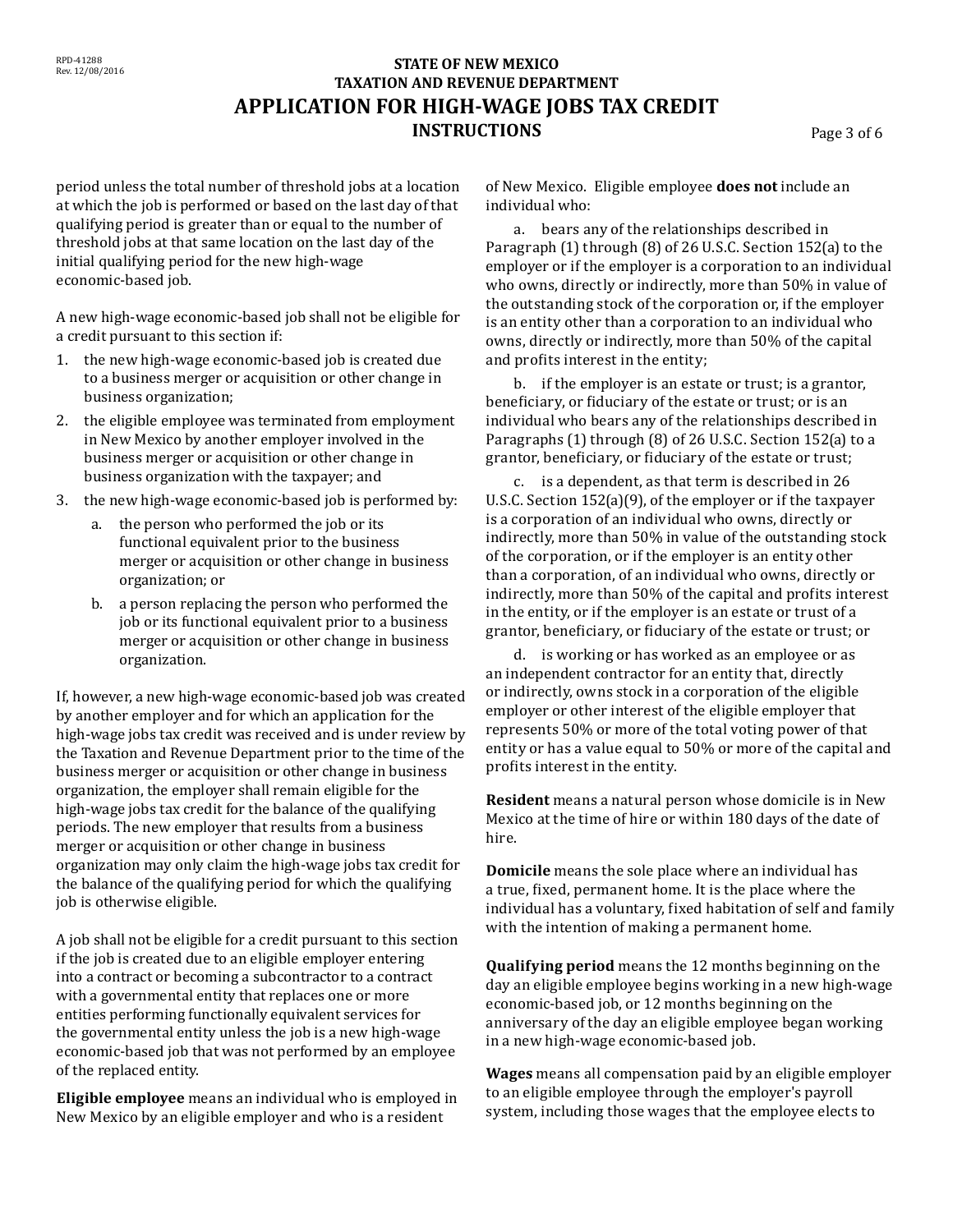# **STATE OF NEW MEXICO TAXATION AND REVENUE DEPARTMENT APPLICATION FOR HIGH-WAGE JOBS TAX CREDIT INSTRUCTIONS** Page 3 of 6

period unless the total number of threshold jobs at a location at which the job is performed or based on the last day of that qualifying period is greater than or equal to the number of threshold jobs at that same location on the last day of the initial qualifying period for the new high-wage economic-based job.

A new high-wage economic-based job shall not be eligible for a credit pursuant to this section if:

- 1. the new high-wage economic-based job is created due to a business merger or acquisition or other change in business organization;
- 2. the eligible employee was terminated from employment in New Mexico by another employer involved in the business merger or acquisition or other change in business organization with the taxpayer; and
- 3. the new high-wage economic-based job is performed by:
	- a. the person who performed the job or its functional equivalent prior to the business merger or acquisition or other change in business organization; or
	- b. a person replacing the person who performed the job or its functional equivalent prior to a business merger or acquisition or other change in business organization.

If, however, a new high-wage economic-based job was created by another employer and for which an application for the high-wage jobs tax credit was received and is under review by the Taxation and Revenue Department prior to the time of the business merger or acquisition or other change in business organization, the employer shall remain eligible for the high-wage jobs tax credit for the balance of the qualifying periods. The new employer that results from a business merger or acquisition or other change in business organization may only claim the high-wage jobs tax credit for the balance of the qualifying period for which the qualifying job is otherwise eligible.

A job shall not be eligible for a credit pursuant to this section if the job is created due to an eligible employer entering into a contract or becoming a subcontractor to a contract with a governmental entity that replaces one or more entities performing functionally equivalent services for the governmental entity unless the job is a new high-wage economic-based job that was not performed by an employee of the replaced entity.

**Eligible employee** means an individual who is employed in New Mexico by an eligible employer and who is a resident

of New Mexico. Eligible employee **does not** include an individual who:

a. bears any of the relationships described in Paragraph (1) through (8) of 26 U.S.C. Section 152(a) to the employer or if the employer is a corporation to an individual who owns, directly or indirectly, more than 50% in value of the outstanding stock of the corporation or, if the employer is an entity other than a corporation to an individual who owns, directly or indirectly, more than 50% of the capital and profits interest in the entity;

b. if the employer is an estate or trust; is a grantor, beneficiary, or fiduciary of the estate or trust; or is an individual who bears any of the relationships described in Paragraphs (1) through (8) of 26 U.S.C. Section 152(a) to a grantor, beneficiary, or fiduciary of the estate or trust;

c. is a dependent, as that term is described in 26 U.S.C. Section 152(a)(9), of the employer or if the taxpayer is a corporation of an individual who owns, directly or indirectly, more than 50% in value of the outstanding stock of the corporation, or if the employer is an entity other than a corporation, of an individual who owns, directly or indirectly, more than 50% of the capital and profits interest in the entity, or if the employer is an estate or trust of a grantor, beneficiary, or fiduciary of the estate or trust; or

d. is working or has worked as an employee or as an independent contractor for an entity that, directly or indirectly, owns stock in a corporation of the eligible employer or other interest of the eligible employer that represents 50% or more of the total voting power of that entity or has a value equal to 50% or more of the capital and profits interest in the entity.

**Resident** means a natural person whose domicile is in New Mexico at the time of hire or within 180 days of the date of hire.

**Domicile** means the sole place where an individual has a true, fixed, permanent home. It is the place where the individual has a voluntary, fixed habitation of self and family with the intention of making a permanent home.

**Qualifying period** means the 12 months beginning on the day an eligible employee begins working in a new high-wage economic-based job, or 12 months beginning on the anniversary of the day an eligible employee began working in a new high-wage economic-based job.

**Wages** means all compensation paid by an eligible employer to an eligible employee through the employer's payroll system, including those wages that the employee elects to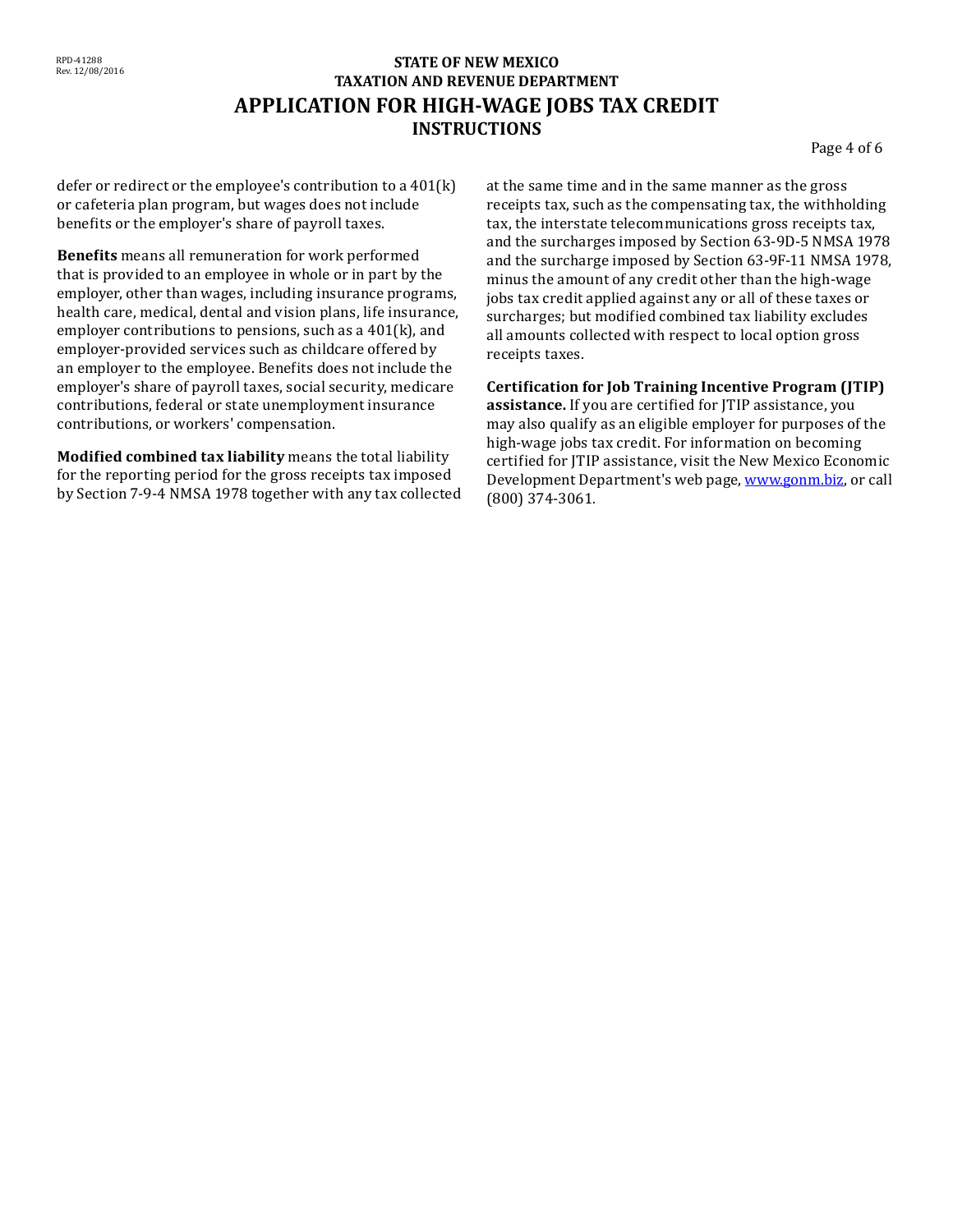## **STATE OF NEW MEXICO TAXATION AND REVENUE DEPARTMENT APPLICATION FOR HIGH-WAGE JOBS TAX CREDIT INSTRUCTIONS**

Page 4 of 6

defer or redirect or the employee's contribution to a 401(k) or cafeteria plan program, but wages does not include benefits or the employer's share of payroll taxes.

**Benefits** means all remuneration for work performed that is provided to an employee in whole or in part by the employer, other than wages, including insurance programs, health care, medical, dental and vision plans, life insurance, employer contributions to pensions, such as a 401(k), and employer-provided services such as childcare offered by an employer to the employee. Benefits does not include the employer's share of payroll taxes, social security, medicare contributions, federal or state unemployment insurance contributions, or workers' compensation.

**Modified combined tax liability** means the total liability for the reporting period for the gross receipts tax imposed by Section 7-9-4 NMSA 1978 together with any tax collected at the same time and in the same manner as the gross receipts tax, such as the compensating tax, the withholding tax, the interstate telecommunications gross receipts tax, and the surcharges imposed by Section 63-9D-5 NMSA 1978 and the surcharge imposed by Section 63-9F-11 NMSA 1978, minus the amount of any credit other than the high-wage jobs tax credit applied against any or all of these taxes or surcharges; but modified combined tax liability excludes all amounts collected with respect to local option gross receipts taxes.

**Certification for Job Training Incentive Program (JTIP)** 

**assistance.** If you are certified for JTIP assistance, you may also qualify as an eligible employer for purposes of the high-wage jobs tax credit. For information on becoming certified for JTIP assistance, visit the New Mexico Economic Development Department's web page, [www.gonm.biz, o](http://www.tax.newmexico.gov/)r call (800) 374-3061.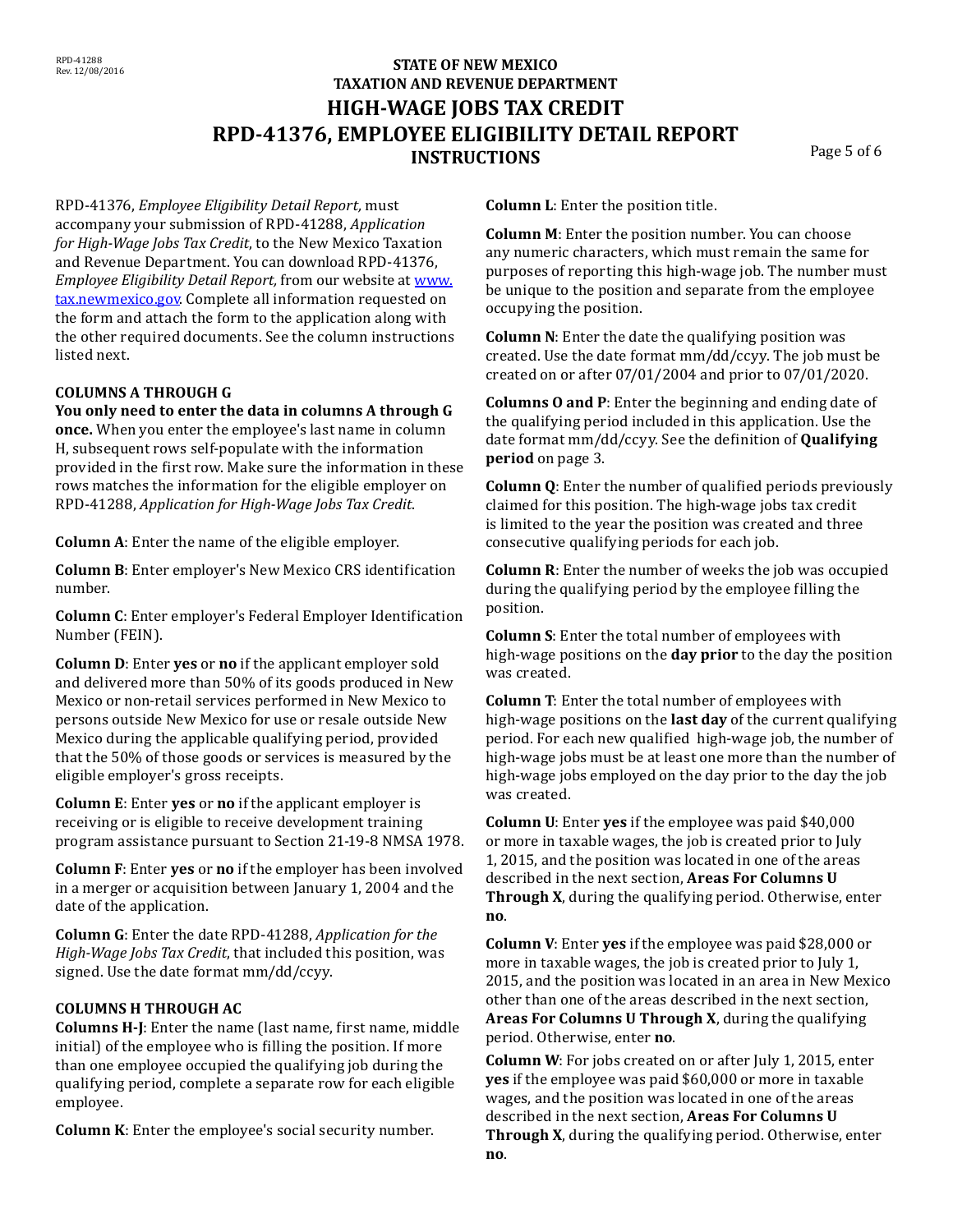# **STATE OF NEW MEXICO TAXATION AND REVENUE DEPARTMENT HIGH-WAGE JOBS TAX CREDIT RPD-41376, EMPLOYEE ELIGIBILITY DETAIL REPORT INSTRUCTIONS** Page 5 of 6

RPD-41376, *Employee Eligibility Detail Report,* must accompany your submission of RPD-41288, *Application for High-Wage Jobs Tax Credit*, to the New Mexico Taxation and Revenue Department. You can download RPD-41376, *Employee Eligibility Detail Report,* from our website at [www.](http://www.tax.newmexico.gov/) [tax.newmexico.gov.](http://www.tax.newmexico.gov/) Complete all information requested on the form and attach the form to the application along with the other required documents. See the column instructions listed next.

## **COLUMNS A THROUGH G**

**You only need to enter the data in columns A through G once.** When you enter the employee's last name in column H, subsequent rows self-populate with the information provided in the first row. Make sure the information in these rows matches the information for the eligible employer on RPD-41288, *Application for High-Wage Jobs Tax Credit*.

**Column A**: Enter the name of the eligible employer.

**Column B**: Enter employer's New Mexico CRS identification number.

**Column C**: Enter employer's Federal Employer Identification Number (FEIN).

**Column D**: Enter **yes** or **no** if the applicant employer sold and delivered more than 50% of its goods produced in New Mexico or non-retail services performed in New Mexico to persons outside New Mexico for use or resale outside New Mexico during the applicable qualifying period, provided that the 50% of those goods or services is measured by the eligible employer's gross receipts.

**Column E**: Enter **yes** or **no** if the applicant employer is receiving or is eligible to receive development training program assistance pursuant to Section 21-19-8 NMSA 1978.

**Column F**: Enter **yes** or **no** if the employer has been involved in a merger or acquisition between January 1, 2004 and the date of the application.

**Column G**: Enter the date RPD-41288, *Application for the High-Wage Jobs Tax Credit*, that included this position, was signed. Use the date format mm/dd/ccyy.

## **COLUMNS H THROUGH AC**

**Columns H-J**: Enter the name (last name, first name, middle initial) of the employee who is filling the position. If more than one employee occupied the qualifying job during the qualifying period, complete a separate row for each eligible employee.

**Column K**: Enter the employee's social security number.

**Column L**: Enter the position title.

**Column M**: Enter the position number. You can choose any numeric characters, which must remain the same for purposes of reporting this high-wage job. The number must be unique to the position and separate from the employee occupying the position.

**Column N**: Enter the date the qualifying position was created. Use the date format mm/dd/ccyy. The job must be created on or after 07/01/2004 and prior to 07/01/2020.

**Columns O and P**: Enter the beginning and ending date of the qualifying period included in this application. Use the date format mm/dd/ccyy. See the definition of **Qualifying period** on page 3.

**Column Q**: Enter the number of qualified periods previously claimed for this position. The high-wage jobs tax credit is limited to the year the position was created and three consecutive qualifying periods for each job.

**Column R**: Enter the number of weeks the job was occupied during the qualifying period by the employee filling the position.

**Column S**: Enter the total number of employees with high-wage positions on the **day prior** to the day the position was created.

**Column T**: Enter the total number of employees with high-wage positions on the **last day** of the current qualifying period. For each new qualified high-wage job, the number of high-wage jobs must be at least one more than the number of high-wage jobs employed on the day prior to the day the job was created.

**Column U**: Enter **yes** if the employee was paid \$40,000 or more in taxable wages, the job is created prior to July 1, 2015, and the position was located in one of the areas described in the next section, **Areas For Columns U Through X**, during the qualifying period. Otherwise, enter **no**.

**Column V**: Enter **yes** if the employee was paid \$28,000 or more in taxable wages, the job is created prior to July 1, 2015, and the position was located in an area in New Mexico other than one of the areas described in the next section, **Areas For Columns U Through X**, during the qualifying period. Otherwise, enter **no**.

**Column W**: For jobs created on or after July 1, 2015, enter **yes** if the employee was paid \$60,000 or more in taxable wages, and the position was located in one of the areas described in the next section, **Areas For Columns U Through X**, during the qualifying period. Otherwise, enter **no**.